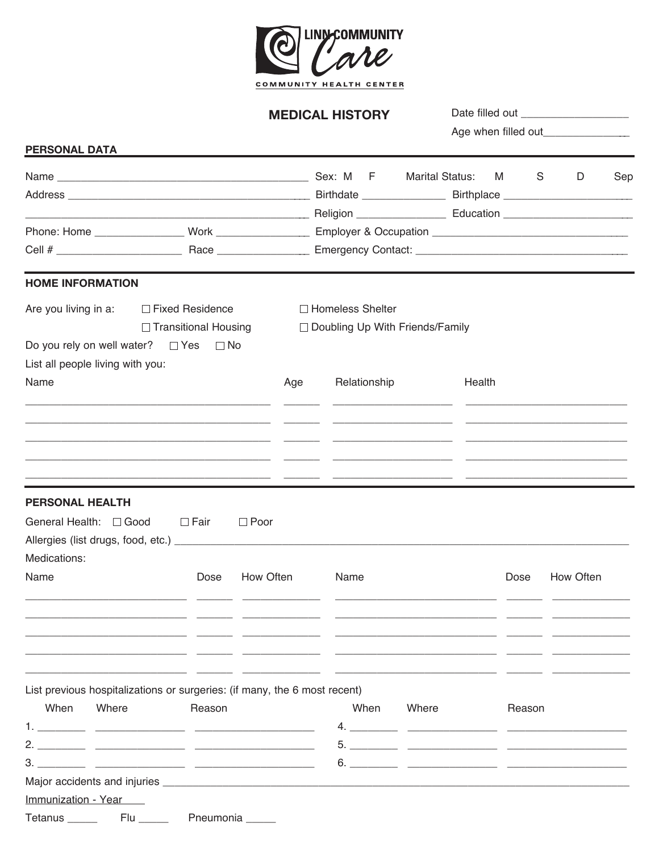

## **MEDICAL HISTORY**

| <b>PERSONAL DATA</b>             |                                                                           |             |                                   |       |                        |                      |           |     |  |
|----------------------------------|---------------------------------------------------------------------------|-------------|-----------------------------------|-------|------------------------|----------------------|-----------|-----|--|
|                                  |                                                                           |             |                                   |       | <b>Marital Status:</b> | S<br>M <sub>ar</sub> | D         | Sep |  |
|                                  |                                                                           |             |                                   |       |                        |                      |           |     |  |
|                                  |                                                                           |             |                                   |       |                        |                      |           |     |  |
|                                  |                                                                           |             |                                   |       |                        |                      |           |     |  |
|                                  |                                                                           |             |                                   |       |                        |                      |           |     |  |
| <b>HOME INFORMATION</b>          |                                                                           |             |                                   |       |                        |                      |           |     |  |
|                                  | Are you living in a: □ Fixed Residence                                    |             | □ Homeless Shelter                |       |                        |                      |           |     |  |
|                                  | $\Box$ Transitional Housing                                               |             | □ Doubling Up With Friends/Family |       |                        |                      |           |     |  |
|                                  | Do you rely on well water? $\Box$ Yes $\Box$ No                           |             |                                   |       |                        |                      |           |     |  |
| List all people living with you: |                                                                           |             |                                   |       |                        |                      |           |     |  |
| Name                             |                                                                           | Age         | Relationship                      |       | Health                 |                      |           |     |  |
|                                  |                                                                           |             |                                   |       |                        |                      |           |     |  |
|                                  |                                                                           |             |                                   |       |                        |                      |           |     |  |
|                                  |                                                                           |             |                                   |       |                        |                      |           |     |  |
|                                  | <u> 1990 - Jan James Alexandro III, martxoar (h. 1980).</u>               |             |                                   |       |                        |                      |           |     |  |
| <b>PERSONAL HEALTH</b>           |                                                                           |             |                                   |       |                        |                      |           |     |  |
| General Health: □ Good           | ⊟ Fair                                                                    | $\Box$ Poor |                                   |       |                        |                      |           |     |  |
|                                  |                                                                           |             |                                   |       |                        |                      |           |     |  |
| Medications:                     |                                                                           |             |                                   |       |                        |                      |           |     |  |
| Name                             | Dose                                                                      | How Often   | Name                              |       |                        | Dose                 | How Often |     |  |
|                                  |                                                                           |             |                                   |       |                        |                      |           |     |  |
|                                  |                                                                           |             |                                   |       |                        |                      |           |     |  |
|                                  |                                                                           |             |                                   |       |                        |                      |           |     |  |
|                                  |                                                                           |             |                                   |       |                        |                      |           |     |  |
|                                  |                                                                           |             |                                   |       |                        |                      |           |     |  |
|                                  | List previous hospitalizations or surgeries: (if many, the 6 most recent) |             |                                   |       |                        |                      |           |     |  |
| When<br>Where                    | Reason                                                                    |             | When                              | Where |                        | Reason               |           |     |  |
|                                  |                                                                           |             |                                   |       |                        |                      |           |     |  |
|                                  |                                                                           |             |                                   |       |                        |                      |           |     |  |
|                                  |                                                                           |             |                                   |       |                        |                      |           |     |  |
|                                  |                                                                           |             |                                   |       |                        |                      |           |     |  |
| Immunization - Year              |                                                                           |             |                                   |       |                        |                      |           |     |  |
|                                  |                                                                           |             |                                   |       |                        |                      |           |     |  |